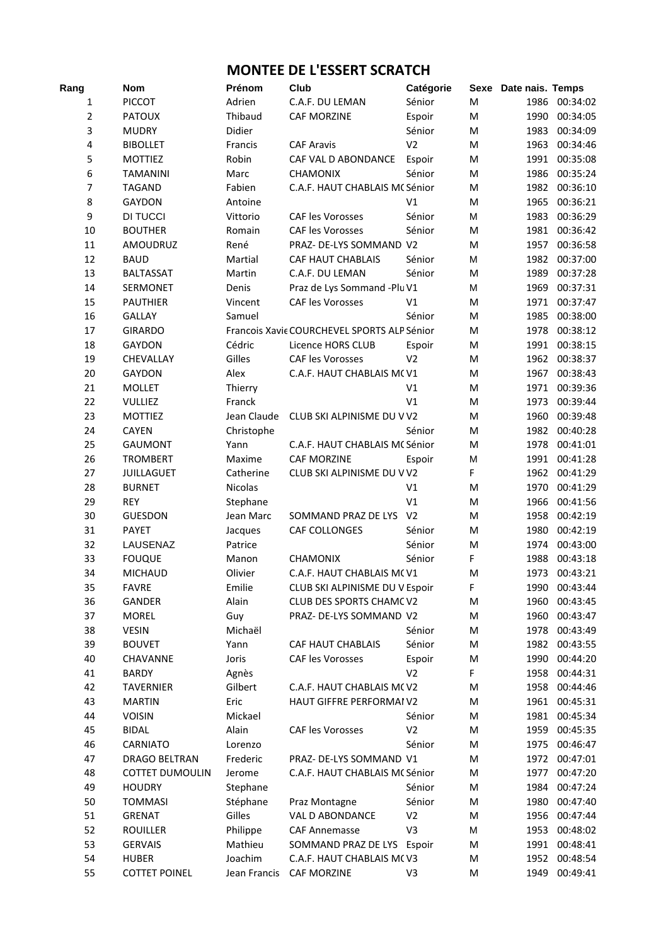## **MONTEE DE L'ESSERT SCRATCH**

| Rang           | <b>Nom</b>             | Prénom       | Club                                        | Catégorie      | Sexe      | Date nais. Temps |               |
|----------------|------------------------|--------------|---------------------------------------------|----------------|-----------|------------------|---------------|
| 1              | <b>PICCOT</b>          | Adrien       | C.A.F. DU LEMAN                             | Sénior         | M         | 1986             | 00:34:02      |
| $\overline{2}$ | <b>PATOUX</b>          | Thibaud      | <b>CAF MORZINE</b>                          | Espoir         | M         | 1990             | 00:34:05      |
| 3              | <b>MUDRY</b>           | Didier       |                                             | Sénior         | M         | 1983             | 00:34:09      |
| 4              | <b>BIBOLLET</b>        | Francis      | <b>CAF Aravis</b>                           | V <sub>2</sub> | M         | 1963             | 00:34:46      |
| 5              | <b>MOTTIEZ</b>         | Robin        | CAF VAL D ABONDANCE                         | Espoir         | M         | 1991             | 00:35:08      |
| 6              | <b>TAMANINI</b>        | Marc         | <b>CHAMONIX</b>                             | Sénior         | M         | 1986             | 00:35:24      |
| 7              | <b>TAGAND</b>          | Fabien       | C.A.F. HAUT CHABLAIS MC Sénior              |                | M         | 1982             | 00:36:10      |
| 8              | <b>GAYDON</b>          | Antoine      |                                             | V1             | M         | 1965             | 00:36:21      |
| 9              | DI TUCCI               | Vittorio     | <b>CAF les Vorosses</b>                     | Sénior         | M         | 1983             | 00:36:29      |
| 10             | <b>BOUTHER</b>         | Romain       | <b>CAF les Vorosses</b>                     | Sénior         | M         | 1981             | 00:36:42      |
| 11             | AMOUDRUZ               | René         | PRAZ- DE-LYS SOMMAND V2                     |                | M         | 1957             | 00:36:58      |
| 12             | <b>BAUD</b>            | Martial      | <b>CAF HAUT CHABLAIS</b>                    | Sénior         | M         | 1982             | 00:37:00      |
| 13             | <b>BALTASSAT</b>       | Martin       | C.A.F. DU LEMAN                             | Sénior         | M         | 1989             | 00:37:28      |
| 14             | SERMONET               | Denis        | Praz de Lys Sommand - Plu V1                |                | M         | 1969             | 00:37:31      |
| 15             | <b>PAUTHIER</b>        | Vincent      | <b>CAF les Vorosses</b>                     | V1             | M         | 1971             | 00:37:47      |
| 16             | <b>GALLAY</b>          | Samuel       |                                             | Sénior         | M         | 1985             | 00:38:00      |
| 17             | <b>GIRARDO</b>         |              | Francois Xavie COURCHEVEL SPORTS ALP Sénior |                | M         | 1978             | 00:38:12      |
| 18             | GAYDON                 | Cédric       | Licence HORS CLUB                           | Espoir         | M         | 1991             | 00:38:15      |
| 19             | CHEVALLAY              | Gilles       | <b>CAF les Vorosses</b>                     | V <sub>2</sub> | M         | 1962             | 00:38:37      |
| 20             | <b>GAYDON</b>          | Alex         | C.A.F. HAUT CHABLAIS MCV1                   |                | M         | 1967             | 00:38:43      |
| 21             | <b>MOLLET</b>          | Thierry      |                                             | V <sub>1</sub> | M         | 1971             | 00:39:36      |
| 22             | <b>VULLIEZ</b>         | Franck       |                                             | V <sub>1</sub> | M         | 1973             | 00:39:44      |
| 23             | <b>MOTTIEZ</b>         | Jean Claude  | CLUB SKI ALPINISME DU V V2                  |                | M         | 1960             | 00:39:48      |
| 24             | <b>CAYEN</b>           | Christophe   |                                             | Sénior         | M         | 1982             | 00:40:28      |
| 25             | <b>GAUMONT</b>         | Yann         | C.A.F. HAUT CHABLAIS MC Sénior              |                | M         | 1978             | 00:41:01      |
| 26             | <b>TROMBERT</b>        | Maxime       | <b>CAF MORZINE</b>                          | Espoir         | M         | 1991             | 00:41:28      |
| 27             | <b>JUILLAGUET</b>      | Catherine    | CLUB SKI ALPINISME DU V V2                  |                | F         | 1962             | 00:41:29      |
| 28             | <b>BURNET</b>          | Nicolas      |                                             | V1             | M         | 1970             | 00:41:29      |
| 29             | <b>REY</b>             | Stephane     |                                             | V <sub>1</sub> | M         | 1966             | 00:41:56      |
| 30             | <b>GUESDON</b>         | Jean Marc    | SOMMAND PRAZ DE LYS                         | V <sub>2</sub> | M         | 1958             | 00:42:19      |
| 31             | <b>PAYET</b>           | Jacques      | CAF COLLONGES                               | Sénior         | M         | 1980             | 00:42:19      |
| 32             | LAUSENAZ               | Patrice      |                                             | Sénior         | M         | 1974             | 00:43:00      |
| 33             | <b>FOUQUE</b>          | Manon        | <b>CHAMONIX</b>                             | Sénior         | F         | 1988             | 00:43:18      |
| 34             | <b>MICHAUD</b>         | Olivier      | C.A.F. HAUT CHABLAIS MCV1                   |                | M         |                  | 1973 00:43:21 |
| 35             | <b>FAVRE</b>           | Emilie       | CLUB SKI ALPINISME DU V Espoir              |                | F         |                  | 1990 00:43:44 |
| 36             | GANDER                 | Alain        | CLUB DES SPORTS CHAMCV2                     |                | M         | 1960             | 00:43:45      |
| 37             | <b>MOREL</b>           | Guy          | PRAZ- DE-LYS SOMMAND V2                     |                | M         | 1960             | 00:43:47      |
| 38             | <b>VESIN</b>           | Michaël      |                                             | Sénior         | M         | 1978             | 00:43:49      |
| 39             | <b>BOUVET</b>          | Yann         | <b>CAF HAUT CHABLAIS</b>                    | Sénior         | ${\sf M}$ | 1982             | 00:43:55      |
| 40             | <b>CHAVANNE</b>        | Joris        | <b>CAF les Vorosses</b>                     | Espoir         | M         | 1990             | 00:44:20      |
| 41             | <b>BARDY</b>           | Agnès        |                                             | V <sub>2</sub> | F         | 1958             | 00:44:31      |
| 42             | <b>TAVERNIER</b>       | Gilbert      | C.A.F. HAUT CHABLAIS M(V2                   |                | M         | 1958             | 00:44:46      |
| 43             | <b>MARTIN</b>          | Eric         | HAUT GIFFRE PERFORMAI V2                    |                | M         | 1961             | 00:45:31      |
| 44             | <b>VOISIN</b>          | Mickael      |                                             | Sénior         | M         | 1981             | 00:45:34      |
| 45             | <b>BIDAL</b>           | Alain        | CAF les Vorosses                            | V <sub>2</sub> | M         | 1959             | 00:45:35      |
| 46             | CARNIATO               | Lorenzo      |                                             | Sénior         | ${\sf M}$ | 1975             | 00:46:47      |
| 47             | DRAGO BELTRAN          | Frederic     | PRAZ- DE-LYS SOMMAND V1                     |                | ${\sf M}$ | 1972             | 00:47:01      |
| 48             | <b>COTTET DUMOULIN</b> | Jerome       | C.A.F. HAUT CHABLAIS MC Sénior              |                | M         | 1977             | 00:47:20      |
| 49             | <b>HOUDRY</b>          | Stephane     |                                             | Sénior         | M         | 1984             | 00:47:24      |
| 50             | <b>TOMMASI</b>         | Stéphane     | Praz Montagne                               | Sénior         | M         | 1980             | 00:47:40      |
| 51             | <b>GRENAT</b>          | Gilles       | VAL D ABONDANCE                             | V <sub>2</sub> | M         | 1956             | 00:47:44      |
| 52             | <b>ROUILLER</b>        | Philippe     | <b>CAF Annemasse</b>                        | V3             | M         | 1953             | 00:48:02      |
| 53             | <b>GERVAIS</b>         | Mathieu      | SOMMAND PRAZ DE LYS Espoir                  |                | M         | 1991             | 00:48:41      |
| 54             | <b>HUBER</b>           | Joachim      | C.A.F. HAUT CHABLAIS MCV3                   |                | ${\sf M}$ | 1952             | 00:48:54      |
| 55             | <b>COTTET POINEL</b>   | Jean Francis | <b>CAF MORZINE</b>                          | V3             | M         | 1949             | 00:49:41      |
|                |                        |              |                                             |                |           |                  |               |